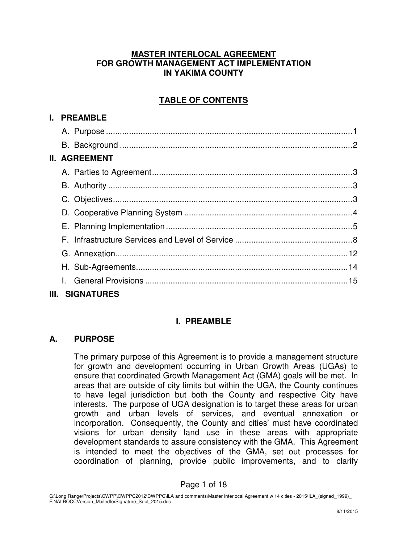# **TABLE OF CONTENTS**

| I. PREAMBLE            |  |
|------------------------|--|
|                        |  |
|                        |  |
| <b>II. AGREEMENT</b>   |  |
|                        |  |
|                        |  |
|                        |  |
|                        |  |
|                        |  |
|                        |  |
|                        |  |
|                        |  |
|                        |  |
| <b>III. SIGNATURES</b> |  |

### **I. PREAMBLE**

# **A. PURPOSE**

The primary purpose of this Agreement is to provide a management structure for growth and development occurring in Urban Growth Areas (UGAs) to ensure that coordinated Growth Management Act (GMA) goals will be met. In areas that are outside of city limits but within the UGA, the County continues to have legal jurisdiction but both the County and respective City have interests. The purpose of UGA designation is to target these areas for urban growth and urban levels of services, and eventual annexation or incorporation. Consequently, the County and cities' must have coordinated visions for urban density land use in these areas with appropriate development standards to assure consistency with the GMA. This Agreement is intended to meet the objectives of the GMA, set out processes for coordination of planning, provide public improvements, and to clarify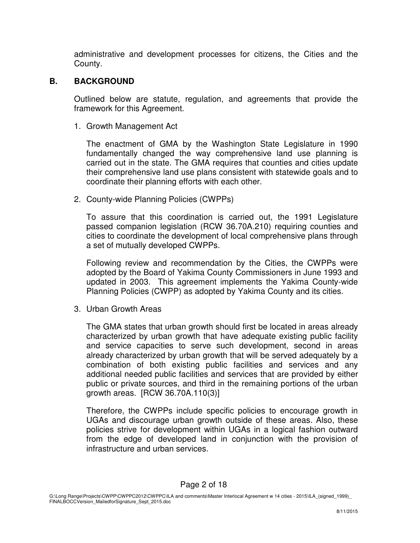administrative and development processes for citizens, the Cities and the County.

#### **B. BACKGROUND**

Outlined below are statute, regulation, and agreements that provide the framework for this Agreement.

1. Growth Management Act

The enactment of GMA by the Washington State Legislature in 1990 fundamentally changed the way comprehensive land use planning is carried out in the state. The GMA requires that counties and cities update their comprehensive land use plans consistent with statewide goals and to coordinate their planning efforts with each other.

2. County-wide Planning Policies (CWPPs)

To assure that this coordination is carried out, the 1991 Legislature passed companion legislation (RCW 36.70A.210) requiring counties and cities to coordinate the development of local comprehensive plans through a set of mutually developed CWPPs.

Following review and recommendation by the Cities, the CWPPs were adopted by the Board of Yakima County Commissioners in June 1993 and updated in 2003. This agreement implements the Yakima County-wide Planning Policies (CWPP) as adopted by Yakima County and its cities.

3. Urban Growth Areas

The GMA states that urban growth should first be located in areas already characterized by urban growth that have adequate existing public facility and service capacities to serve such development, second in areas already characterized by urban growth that will be served adequately by a combination of both existing public facilities and services and any additional needed public facilities and services that are provided by either public or private sources, and third in the remaining portions of the urban growth areas. [RCW 36.70A.110(3)]

Therefore, the CWPPs include specific policies to encourage growth in UGAs and discourage urban growth outside of these areas. Also, these policies strive for development within UGAs in a logical fashion outward from the edge of developed land in conjunction with the provision of infrastructure and urban services.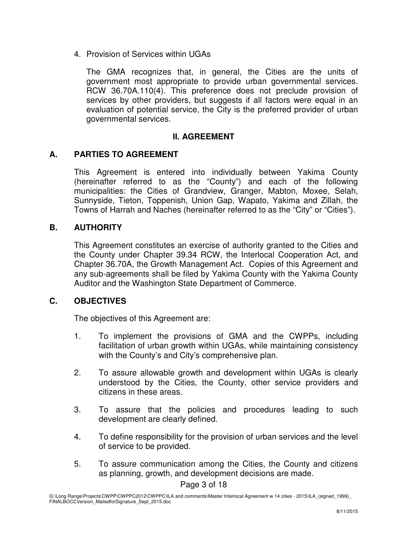4. Provision of Services within UGAs

The GMA recognizes that, in general, the Cities are the units of government most appropriate to provide urban governmental services. RCW 36.70A.110(4). This preference does not preclude provision of services by other providers, but suggests if all factors were equal in an evaluation of potential service, the City is the preferred provider of urban governmental services.

### **II. AGREEMENT**

### **A. PARTIES TO AGREEMENT**

This Agreement is entered into individually between Yakima County (hereinafter referred to as the "County") and each of the following municipalities: the Cities of Grandview, Granger, Mabton, Moxee, Selah, Sunnyside, Tieton, Toppenish, Union Gap, Wapato, Yakima and Zillah, the Towns of Harrah and Naches (hereinafter referred to as the "City" or "Cities").

### **B. AUTHORITY**

This Agreement constitutes an exercise of authority granted to the Cities and the County under Chapter 39.34 RCW, the Interlocal Cooperation Act, and Chapter 36.70A, the Growth Management Act. Copies of this Agreement and any sub-agreements shall be filed by Yakima County with the Yakima County Auditor and the Washington State Department of Commerce.

#### **C. OBJECTIVES**

The objectives of this Agreement are:

- 1. To implement the provisions of GMA and the CWPPs, including facilitation of urban growth within UGAs, while maintaining consistency with the County's and City's comprehensive plan.
- 2. To assure allowable growth and development within UGAs is clearly understood by the Cities, the County, other service providers and citizens in these areas.
- 3. To assure that the policies and procedures leading to such development are clearly defined.
- 4. To define responsibility for the provision of urban services and the level of service to be provided.
- 5. To assure communication among the Cities, the County and citizens as planning, growth, and development decisions are made.

#### Page 3 of 18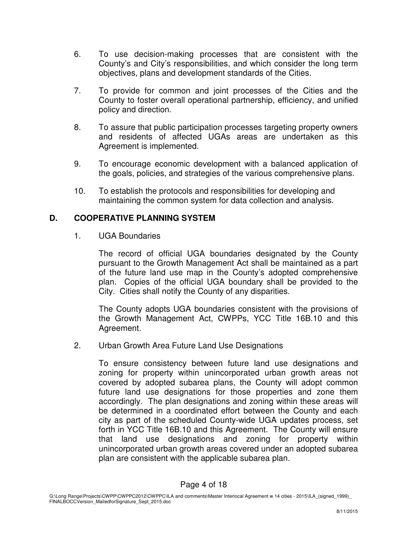- 6. To use decision-making processes that are consistent with the County's and City's responsibilities, and which consider the long term objectives, plans and development standards of the Cities.
- 7. To provide for common and joint processes of the Cities and the County to foster overall operational partnership, efficiency, and unified policy and direction.
- 8. To assure that public participation processes targeting property owners and residents of affected UGAs areas are undertaken as this Agreement is implemented.
- 9. To encourage economic development with a balanced application of the goals, policies, and strategies of the various comprehensive plans.
- 10. To establish the protocols and responsibilities for developing and maintaining the common system for data collection and analysis.

# **D. COOPERATIVE PLANNING SYSTEM**

1. UGA Boundaries

The record of official UGA boundaries designated by the County pursuant to the Growth Management Act shall be maintained as a part of the future land use map in the County's adopted comprehensive plan. Copies of the official UGA boundary shall be provided to the City. Cities shall notify the County of any disparities.

The County adopts UGA boundaries consistent with the provisions of the Growth Management Act, CWPPs, YCC Title 16B.10 and this Agreement.

2. Urban Growth Area Future Land Use Designations

To ensure consistency between future land use designations and zoning for property within unincorporated urban growth areas not covered by adopted subarea plans, the County will adopt common future land use designations for those properties and zone them accordingly. The plan designations and zoning within these areas will be determined in a coordinated effort between the County and each city as part of the scheduled County-wide UGA updates process, set forth in YCC Title 16B.10 and this Agreement. The County will ensure that land use designations and zoning for property within unincorporated urban growth areas covered under an adopted subarea plan are consistent with the applicable subarea plan.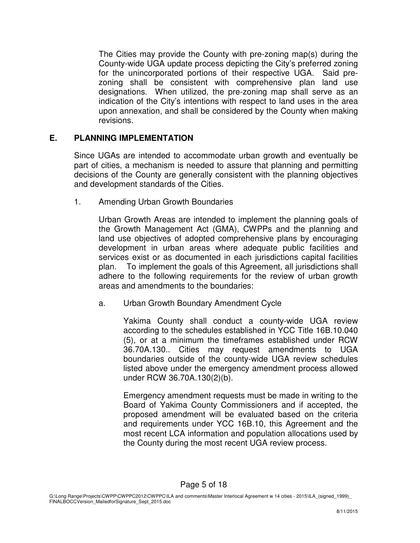The Cities may provide the County with pre-zoning map(s) during the County-wide UGA update process depicting the City's preferred zoning for the unincorporated portions of their respective UGA. Said prezoning shall be consistent with comprehensive plan land use designations. When utilized, the pre-zoning map shall serve as an indication of the City's intentions with respect to land uses in the area upon annexation, and shall be considered by the County when making revisions.

#### **E. PLANNING IMPLEMENTATION**

Since UGAs are intended to accommodate urban growth and eventually be part of cities, a mechanism is needed to assure that planning and permitting decisions of the County are generally consistent with the planning objectives and development standards of the Cities.

1. Amending Urban Growth Boundaries

Urban Growth Areas are intended to implement the planning goals of the Growth Management Act (GMA), CWPPs and the planning and land use objectives of adopted comprehensive plans by encouraging development in urban areas where adequate public facilities and services exist or as documented in each jurisdictions capital facilities plan. To implement the goals of this Agreement, all jurisdictions shall adhere to the following requirements for the review of urban growth areas and amendments to the boundaries:

a. Urban Growth Boundary Amendment Cycle

Yakima County shall conduct a county-wide UGA review according to the schedules established in YCC Title 16B.10.040 (5), or at a minimum the timeframes established under RCW 36.70A.130.. Cities may request amendments to UGA boundaries outside of the county-wide UGA review schedules listed above under the emergency amendment process allowed under RCW 36.70A.130(2)(b).

Emergency amendment requests must be made in writing to the Board of Yakima County Commissioners and if accepted, the proposed amendment will be evaluated based on the criteria and requirements under YCC 16B.10, this Agreement and the most recent LCA information and population allocations used by the County during the most recent UGA review process.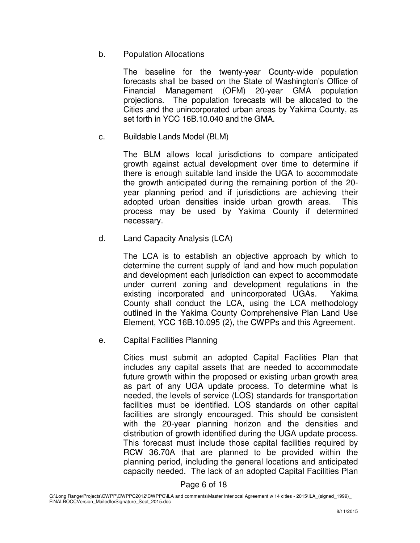b. Population Allocations

The baseline for the twenty-year County-wide population forecasts shall be based on the State of Washington's Office of Financial Management (OFM) 20-year GMA population projections. The population forecasts will be allocated to the Cities and the unincorporated urban areas by Yakima County, as set forth in YCC 16B.10.040 and the GMA.

c. Buildable Lands Model (BLM)

The BLM allows local jurisdictions to compare anticipated growth against actual development over time to determine if there is enough suitable land inside the UGA to accommodate the growth anticipated during the remaining portion of the 20 year planning period and if jurisdictions are achieving their adopted urban densities inside urban growth areas. This process may be used by Yakima County if determined necessary.

d. Land Capacity Analysis (LCA)

The LCA is to establish an objective approach by which to determine the current supply of land and how much population and development each jurisdiction can expect to accommodate under current zoning and development regulations in the existing incorporated and unincorporated UGAs. Yakima County shall conduct the LCA, using the LCA methodology outlined in the Yakima County Comprehensive Plan Land Use Element, YCC 16B.10.095 (2), the CWPPs and this Agreement.

e. Capital Facilities Planning

Cities must submit an adopted Capital Facilities Plan that includes any capital assets that are needed to accommodate future growth within the proposed or existing urban growth area as part of any UGA update process. To determine what is needed, the levels of service (LOS) standards for transportation facilities must be identified. LOS standards on other capital facilities are strongly encouraged. This should be consistent with the 20-year planning horizon and the densities and distribution of growth identified during the UGA update process. This forecast must include those capital facilities required by RCW 36.70A that are planned to be provided within the planning period, including the general locations and anticipated capacity needed. The lack of an adopted Capital Facilities Plan

#### Page 6 of 18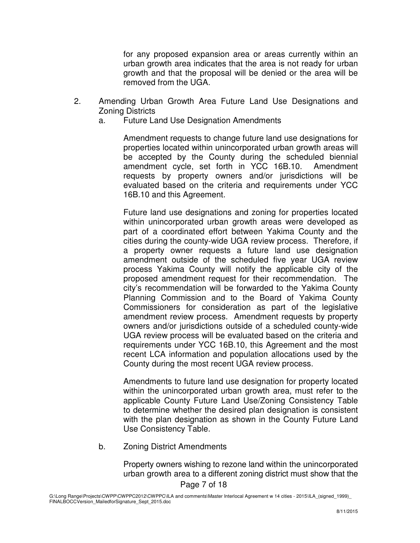for any proposed expansion area or areas currently within an urban growth area indicates that the area is not ready for urban growth and that the proposal will be denied or the area will be removed from the UGA.

- 2. Amending Urban Growth Area Future Land Use Designations and Zoning Districts
	- a. Future Land Use Designation Amendments

Amendment requests to change future land use designations for properties located within unincorporated urban growth areas will be accepted by the County during the scheduled biennial amendment cycle, set forth in YCC 16B.10. Amendment requests by property owners and/or jurisdictions will be evaluated based on the criteria and requirements under YCC 16B.10 and this Agreement.

Future land use designations and zoning for properties located within unincorporated urban growth areas were developed as part of a coordinated effort between Yakima County and the cities during the county-wide UGA review process. Therefore, if a property owner requests a future land use designation amendment outside of the scheduled five year UGA review process Yakima County will notify the applicable city of the proposed amendment request for their recommendation. The city's recommendation will be forwarded to the Yakima County Planning Commission and to the Board of Yakima County Commissioners for consideration as part of the legislative amendment review process. Amendment requests by property owners and/or jurisdictions outside of a scheduled county-wide UGA review process will be evaluated based on the criteria and requirements under YCC 16B.10, this Agreement and the most recent LCA information and population allocations used by the County during the most recent UGA review process.

Amendments to future land use designation for property located within the unincorporated urban growth area, must refer to the applicable County Future Land Use/Zoning Consistency Table to determine whether the desired plan designation is consistent with the plan designation as shown in the County Future Land Use Consistency Table.

b. Zoning District Amendments

 Page 7 of 18 Property owners wishing to rezone land within the unincorporated urban growth area to a different zoning district must show that the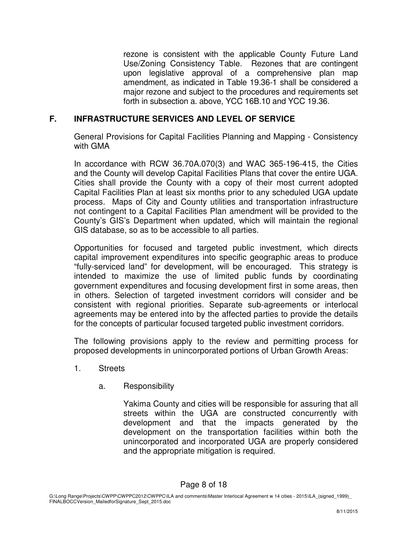rezone is consistent with the applicable County Future Land Use/Zoning Consistency Table. Rezones that are contingent upon legislative approval of a comprehensive plan map amendment, as indicated in Table 19.36-1 shall be considered a major rezone and subject to the procedures and requirements set forth in subsection a. above, YCC 16B.10 and YCC 19.36.

#### **F. INFRASTRUCTURE SERVICES AND LEVEL OF SERVICE**

General Provisions for Capital Facilities Planning and Mapping - Consistency with GMA

In accordance with RCW 36.70A.070(3) and WAC 365-196-415, the Cities and the County will develop Capital Facilities Plans that cover the entire UGA. Cities shall provide the County with a copy of their most current adopted Capital Facilities Plan at least six months prior to any scheduled UGA update process. Maps of City and County utilities and transportation infrastructure not contingent to a Capital Facilities Plan amendment will be provided to the County's GIS's Department when updated, which will maintain the regional GIS database, so as to be accessible to all parties.

Opportunities for focused and targeted public investment, which directs capital improvement expenditures into specific geographic areas to produce "fully-serviced land" for development, will be encouraged. This strategy is intended to maximize the use of limited public funds by coordinating government expenditures and focusing development first in some areas, then in others. Selection of targeted investment corridors will consider and be consistent with regional priorities. Separate sub-agreements or interlocal agreements may be entered into by the affected parties to provide the details for the concepts of particular focused targeted public investment corridors.

The following provisions apply to the review and permitting process for proposed developments in unincorporated portions of Urban Growth Areas:

- 1. Streets
	- a. Responsibility

Yakima County and cities will be responsible for assuring that all streets within the UGA are constructed concurrently with development and that the impacts generated by the development on the transportation facilities within both the unincorporated and incorporated UGA are properly considered and the appropriate mitigation is required.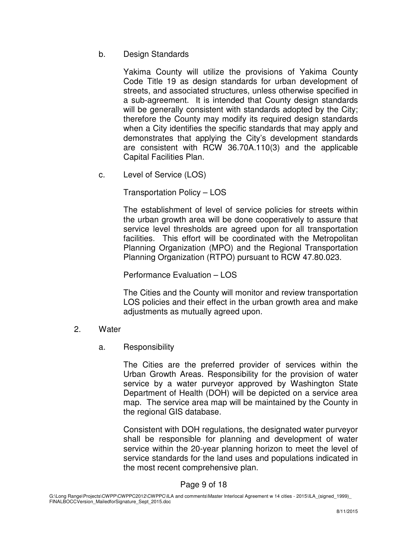b. Design Standards

Yakima County will utilize the provisions of Yakima County Code Title 19 as design standards for urban development of streets, and associated structures, unless otherwise specified in a sub-agreement. It is intended that County design standards will be generally consistent with standards adopted by the City; therefore the County may modify its required design standards when a City identifies the specific standards that may apply and demonstrates that applying the City's development standards are consistent with RCW 36.70A.110(3) and the applicable Capital Facilities Plan.

c. Level of Service (LOS)

Transportation Policy – LOS

The establishment of level of service policies for streets within the urban growth area will be done cooperatively to assure that service level thresholds are agreed upon for all transportation facilities. This effort will be coordinated with the Metropolitan Planning Organization (MPO) and the Regional Transportation Planning Organization (RTPO) pursuant to RCW 47.80.023.

Performance Evaluation – LOS

The Cities and the County will monitor and review transportation LOS policies and their effect in the urban growth area and make adjustments as mutually agreed upon.

- 2. Water
	- a. Responsibility

The Cities are the preferred provider of services within the Urban Growth Areas. Responsibility for the provision of water service by a water purveyor approved by Washington State Department of Health (DOH) will be depicted on a service area map. The service area map will be maintained by the County in the regional GIS database.

Consistent with DOH regulations, the designated water purveyor shall be responsible for planning and development of water service within the 20-year planning horizon to meet the level of service standards for the land uses and populations indicated in the most recent comprehensive plan.

#### Page 9 of 18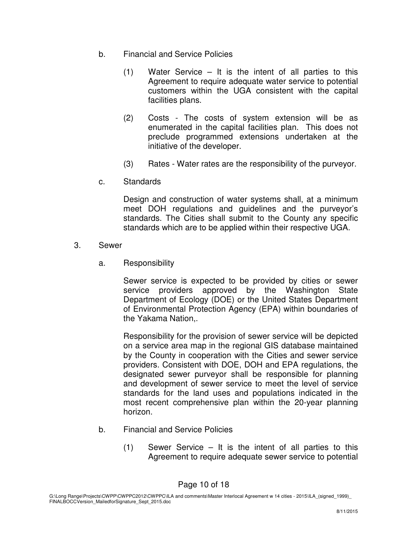- b. Financial and Service Policies
	- (1) Water Service It is the intent of all parties to this Agreement to require adequate water service to potential customers within the UGA consistent with the capital facilities plans.
	- (2) Costs The costs of system extension will be as enumerated in the capital facilities plan. This does not preclude programmed extensions undertaken at the initiative of the developer.
	- (3) Rates Water rates are the responsibility of the purveyor.
- c. Standards

Design and construction of water systems shall, at a minimum meet DOH regulations and guidelines and the purveyor's standards. The Cities shall submit to the County any specific standards which are to be applied within their respective UGA.

- 3. Sewer
	- a. Responsibility

Sewer service is expected to be provided by cities or sewer service providers approved by the Washington State Department of Ecology (DOE) or the United States Department of Environmental Protection Agency (EPA) within boundaries of the Yakama Nation,.

Responsibility for the provision of sewer service will be depicted on a service area map in the regional GIS database maintained by the County in cooperation with the Cities and sewer service providers. Consistent with DOE, DOH and EPA regulations, the designated sewer purveyor shall be responsible for planning and development of sewer service to meet the level of service standards for the land uses and populations indicated in the most recent comprehensive plan within the 20-year planning horizon.

- b. Financial and Service Policies
	- (1) Sewer Service It is the intent of all parties to this Agreement to require adequate sewer service to potential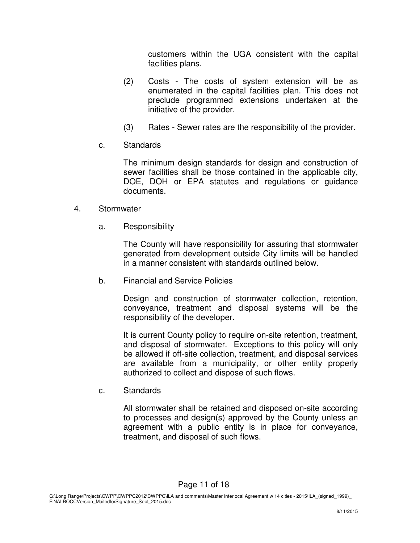customers within the UGA consistent with the capital facilities plans.

- (2) Costs The costs of system extension will be as enumerated in the capital facilities plan. This does not preclude programmed extensions undertaken at the initiative of the provider.
- (3) Rates Sewer rates are the responsibility of the provider.
- c. Standards

The minimum design standards for design and construction of sewer facilities shall be those contained in the applicable city, DOE, DOH or EPA statutes and regulations or guidance documents.

- 4. Stormwater
	- a. Responsibility

The County will have responsibility for assuring that stormwater generated from development outside City limits will be handled in a manner consistent with standards outlined below.

b. Financial and Service Policies

Design and construction of stormwater collection, retention, conveyance, treatment and disposal systems will be the responsibility of the developer.

It is current County policy to require on-site retention, treatment, and disposal of stormwater. Exceptions to this policy will only be allowed if off-site collection, treatment, and disposal services are available from a municipality, or other entity properly authorized to collect and dispose of such flows.

c. Standards

All stormwater shall be retained and disposed on-site according to processes and design(s) approved by the County unless an agreement with a public entity is in place for conveyance, treatment, and disposal of such flows.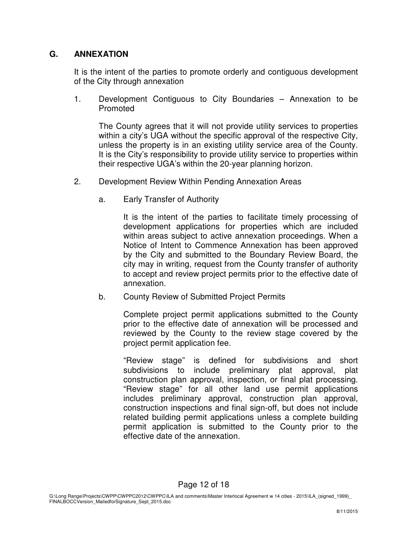### **G. ANNEXATION**

It is the intent of the parties to promote orderly and contiguous development of the City through annexation

1. Development Contiguous to City Boundaries – Annexation to be Promoted

The County agrees that it will not provide utility services to properties within a city's UGA without the specific approval of the respective City, unless the property is in an existing utility service area of the County. It is the City's responsibility to provide utility service to properties within their respective UGA's within the 20-year planning horizon.

- 2. Development Review Within Pending Annexation Areas
	- a. Early Transfer of Authority

It is the intent of the parties to facilitate timely processing of development applications for properties which are included within areas subject to active annexation proceedings. When a Notice of Intent to Commence Annexation has been approved by the City and submitted to the Boundary Review Board, the city may in writing, request from the County transfer of authority to accept and review project permits prior to the effective date of annexation.

b. County Review of Submitted Project Permits

Complete project permit applications submitted to the County prior to the effective date of annexation will be processed and reviewed by the County to the review stage covered by the project permit application fee.

"Review stage" is defined for subdivisions and short subdivisions to include preliminary plat approval, plat construction plan approval, inspection, or final plat processing. "Review stage" for all other land use permit applications includes preliminary approval, construction plan approval, construction inspections and final sign-off, but does not include related building permit applications unless a complete building permit application is submitted to the County prior to the effective date of the annexation.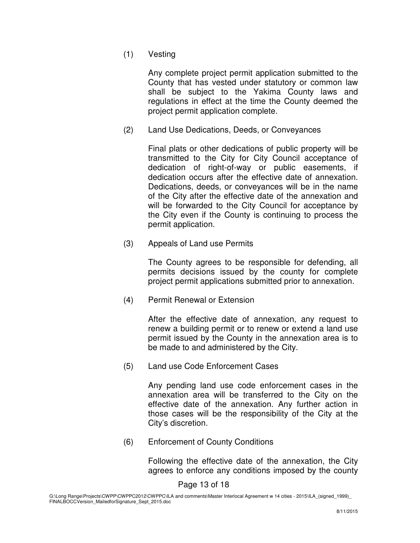(1) Vesting

Any complete project permit application submitted to the County that has vested under statutory or common law shall be subject to the Yakima County laws and regulations in effect at the time the County deemed the project permit application complete.

(2) Land Use Dedications, Deeds, or Conveyances

Final plats or other dedications of public property will be transmitted to the City for City Council acceptance of dedication of right-of-way or public easements, if dedication occurs after the effective date of annexation. Dedications, deeds, or conveyances will be in the name of the City after the effective date of the annexation and will be forwarded to the City Council for acceptance by the City even if the County is continuing to process the permit application.

(3) Appeals of Land use Permits

The County agrees to be responsible for defending, all permits decisions issued by the county for complete project permit applications submitted prior to annexation.

(4) Permit Renewal or Extension

After the effective date of annexation, any request to renew a building permit or to renew or extend a land use permit issued by the County in the annexation area is to be made to and administered by the City.

(5) Land use Code Enforcement Cases

Any pending land use code enforcement cases in the annexation area will be transferred to the City on the effective date of the annexation. Any further action in those cases will be the responsibility of the City at the City's discretion.

(6) Enforcement of County Conditions

Following the effective date of the annexation, the City agrees to enforce any conditions imposed by the county

#### Page 13 of 18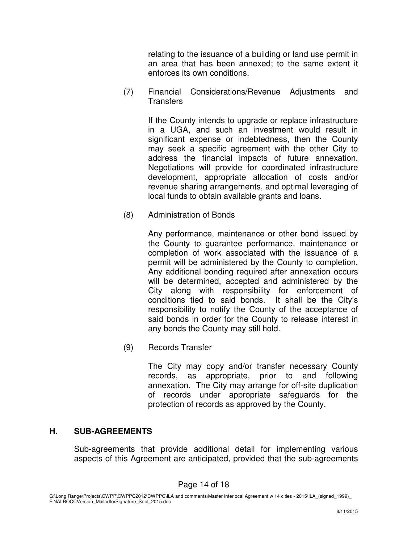relating to the issuance of a building or land use permit in an area that has been annexed; to the same extent it enforces its own conditions.

(7) Financial Considerations/Revenue Adjustments and **Transfers** 

> If the County intends to upgrade or replace infrastructure in a UGA, and such an investment would result in significant expense or indebtedness, then the County may seek a specific agreement with the other City to address the financial impacts of future annexation. Negotiations will provide for coordinated infrastructure development, appropriate allocation of costs and/or revenue sharing arrangements, and optimal leveraging of local funds to obtain available grants and loans.

(8) Administration of Bonds

Any performance, maintenance or other bond issued by the County to guarantee performance, maintenance or completion of work associated with the issuance of a permit will be administered by the County to completion. Any additional bonding required after annexation occurs will be determined, accepted and administered by the City along with responsibility for enforcement of conditions tied to said bonds. It shall be the City's responsibility to notify the County of the acceptance of said bonds in order for the County to release interest in any bonds the County may still hold.

(9) Records Transfer

The City may copy and/or transfer necessary County records, as appropriate, prior to and following annexation. The City may arrange for off-site duplication of records under appropriate safeguards for the protection of records as approved by the County.

#### **H. SUB-AGREEMENTS**

Sub-agreements that provide additional detail for implementing various aspects of this Agreement are anticipated, provided that the sub-agreements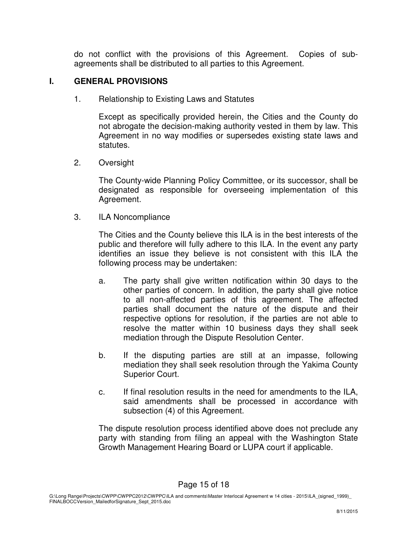do not conflict with the provisions of this Agreement. Copies of subagreements shall be distributed to all parties to this Agreement.

#### **I. GENERAL PROVISIONS**

1. Relationship to Existing Laws and Statutes

Except as specifically provided herein, the Cities and the County do not abrogate the decision-making authority vested in them by law. This Agreement in no way modifies or supersedes existing state laws and statutes.

2. Oversight

The County-wide Planning Policy Committee, or its successor, shall be designated as responsible for overseeing implementation of this Agreement.

3. ILA Noncompliance

The Cities and the County believe this ILA is in the best interests of the public and therefore will fully adhere to this ILA. In the event any party identifies an issue they believe is not consistent with this ILA the following process may be undertaken:

- a. The party shall give written notification within 30 days to the other parties of concern. In addition, the party shall give notice to all non-affected parties of this agreement. The affected parties shall document the nature of the dispute and their respective options for resolution, if the parties are not able to resolve the matter within 10 business days they shall seek mediation through the Dispute Resolution Center.
- b. If the disputing parties are still at an impasse, following mediation they shall seek resolution through the Yakima County Superior Court.
- c. If final resolution results in the need for amendments to the ILA, said amendments shall be processed in accordance with subsection (4) of this Agreement.

The dispute resolution process identified above does not preclude any party with standing from filing an appeal with the Washington State Growth Management Hearing Board or LUPA court if applicable.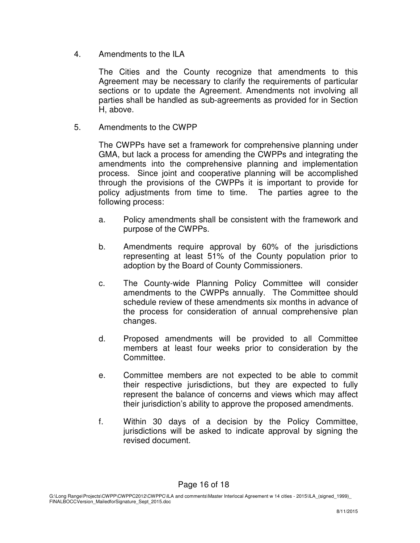4. Amendments to the ILA

The Cities and the County recognize that amendments to this Agreement may be necessary to clarify the requirements of particular sections or to update the Agreement. Amendments not involving all parties shall be handled as sub-agreements as provided for in Section H, above.

5. Amendments to the CWPP

The CWPPs have set a framework for comprehensive planning under GMA, but lack a process for amending the CWPPs and integrating the amendments into the comprehensive planning and implementation process. Since joint and cooperative planning will be accomplished through the provisions of the CWPPs it is important to provide for policy adjustments from time to time. The parties agree to the following process:

- a. Policy amendments shall be consistent with the framework and purpose of the CWPPs.
- b. Amendments require approval by 60% of the jurisdictions representing at least 51% of the County population prior to adoption by the Board of County Commissioners.
- c. The County-wide Planning Policy Committee will consider amendments to the CWPPs annually. The Committee should schedule review of these amendments six months in advance of the process for consideration of annual comprehensive plan changes.
- d. Proposed amendments will be provided to all Committee members at least four weeks prior to consideration by the Committee.
- e. Committee members are not expected to be able to commit their respective jurisdictions, but they are expected to fully represent the balance of concerns and views which may affect their jurisdiction's ability to approve the proposed amendments.
- f. Within 30 days of a decision by the Policy Committee, jurisdictions will be asked to indicate approval by signing the revised document.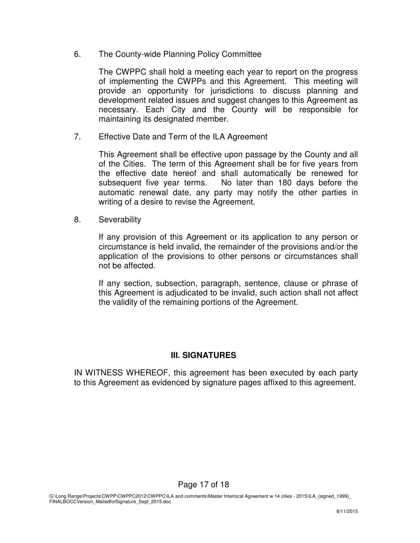6. The County-wide Planning Policy Committee

The CWPPC shall hold a meeting each year to report on the progress of implementing the CWPPs and this Agreement. This meeting will provide an opportunity for jurisdictions to discuss planning and development related issues and suggest changes to this Agreement as necessary. Each City and the County will be responsible for maintaining its designated member.

7. Effective Date and Term of the ILA Agreement

This Agreement shall be effective upon passage by the County and all of the Cities. The term of this Agreement shall be for five years from the effective date hereof and shall automatically be renewed for subsequent five year terms. No later than 180 days before the automatic renewal date, any party may notify the other parties in writing of a desire to revise the Agreement.

8. Severability

If any provision of this Agreement or its application to any person or circumstance is held invalid, the remainder of the provisions and/or the application of the provisions to other persons or circumstances shall not be affected.

If any section, subsection, paragraph, sentence, clause or phrase of this Agreement is adjudicated to be invalid, such action shall not affect the validity of the remaining portions of the Agreement.

#### **III. SIGNATURES**

IN WITNESS WHEREOF, this agreement has been executed by each party to this Agreement as evidenced by signature pages affixed to this agreement.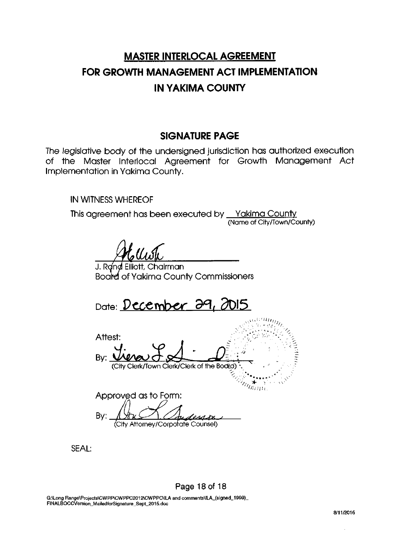# **SIGNATURE PAGE**

The legislative body of the undersigned jurisdiction has authorized execution of the Master Interlocal Agreement for Growth Management Act Implementation in Yakima County.

**IN WITNESS WHEREOF** 

This agreement has been executed by Yakima County (Name of City/Town/County)

J. Rand Elliott, Chairman **Board of Yakima County Commissioners** 

 $Date: December 39,$ *F*OIS

Attest:

Bv: Clerk/Clerk of the Board)

(City Clerk/Town

Approved as to Form: By: (City Attorney/Corporate Counsel)

SEAL:

Page 18 of 18

G:\Long Range\Projects\CWPP\CWPPC2012\CWPPC\ILA and comments\ILA\_(signed\_1999)\_ FINALBOCCVersion\_MailedforSignature\_Sept\_2015.doc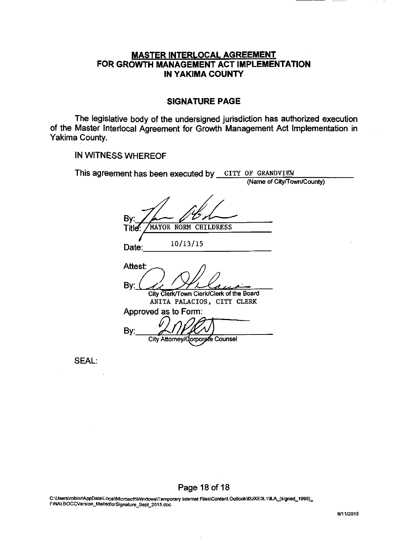#### **SIGNATURE PAGE**

The legislative body of the undersigned jurisdiction has authorized execution<br>of the Master Interlocal Agreement for Growth Management Act Implementation in Yakima County.

#### IN WITNESS WHEREOF

| This agreement has been executed by CITY OF<br><b>GRANDVIEW</b> |
|-----------------------------------------------------------------|
| (Name of City/Town/County)                                      |
| By:<br>MAYOR NORM CHILDRESS<br>Title:<br>10/13/15<br>Date:      |
| Attest:                                                         |
| By:                                                             |
| City Clerk/Town Cierk/Clerk of the Board                        |
| ANITA PALACIOS, CITY CLERK<br>Approved as to Form:              |
| By:                                                             |
| City Attorney/Corporate Counsel                                 |

SEAL:

 $\mathcal{L}_{\mathrm{in}}$ 

Page 18 of 18

C:\Users\robinr\AppData\Local\Microsoft\Windows\Temporary Internet Files\Content.Outlook\I3JXE0L1\ILA\_(signed\_1999)\_<br>FiNALBOCCVersion\_MailedforSignature\_Sept\_2015.doc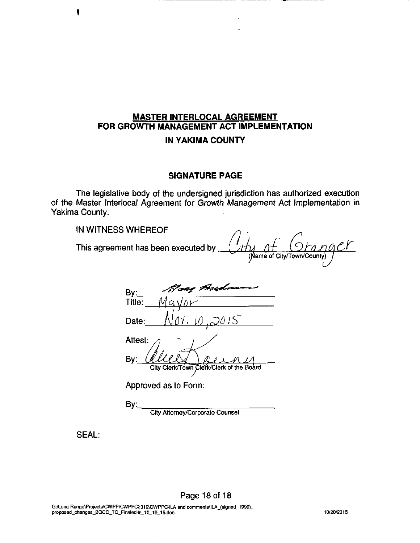#### **SIGNATURE PAGE**

The legislative body of the undersigned jurisdiction has authorized execution of the Master Interlocal Agreement for Growth Management Act Implementation in Yakima County.

#### IN WITNESS WHEREOF

1

| IN WITNESS WHEREOF                                                                                                                                                                                                                                                                                                                                            |                            |
|---------------------------------------------------------------------------------------------------------------------------------------------------------------------------------------------------------------------------------------------------------------------------------------------------------------------------------------------------------------|----------------------------|
| This agreement has been executed by $\left(\frac{1}{11} + \frac{1}{11} + \frac{1}{11} + \frac{1}{11} + \frac{1}{11} + \frac{1}{11} + \frac{1}{11} + \frac{1}{11} + \frac{1}{11} + \frac{1}{11} + \frac{1}{11} + \frac{1}{11} + \frac{1}{11} + \frac{1}{11} + \frac{1}{11} + \frac{1}{11} + \frac{1}{11} + \frac{1}{11} + \frac{1}{11} + \frac{1}{11} + \frac$ |                            |
|                                                                                                                                                                                                                                                                                                                                                               | (Name of City/Town/County) |
|                                                                                                                                                                                                                                                                                                                                                               |                            |

ng And By: Title: Date:

Attest: By: Clerk/Town Clerk/Clerk of the Board City

Approved as to Form:

By:

**City Attorney/Corporate Counsel** 

SEAL: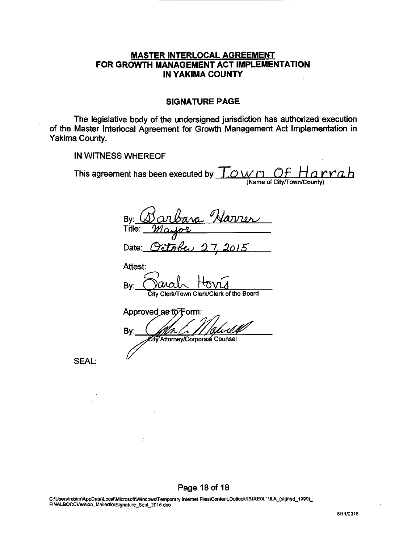#### **SIGNATURE PAGE**

The legislative body of the undersigned jurisdiction has authorized execution of the Master Interlocal Agreement for Growth Management Act Implementation in Yakima County.

IN WITNESS WHEREOF

| This agreement has been executed by $\mathcal{T} \oslash \lor \urcorner_{\mathcal{T}} \ \oslash \digamma \ \mathcal{H} \ \alpha \ \mathcal{r} \mathcal{r} \ \alpha \ \mathcal{h}$ |  |                            |
|-----------------------------------------------------------------------------------------------------------------------------------------------------------------------------------|--|----------------------------|
|                                                                                                                                                                                   |  | (Name of City/Town/County) |

By: Title:

Date:

Attest:

Bv.

Clerk/Town Cierk/Clerk of the Board

Approved as to Form: By: City Attorney/Corporate Counsel

**SEAL:** 

C:\Users\robinr\AppData\Local\Microsoft\Windows\Temporary Internet Files\Content.Outlook\I3JXE0L1\ILA\_(signed\_1999)\_<br>FINALBOCCVersion\_MailedforSignature\_Sept\_2015.doc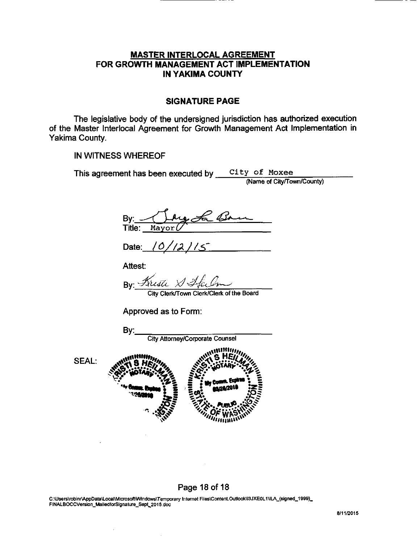#### **SIGNATURE PAGE**

The legislative body of the undersigned jurisdiction has authorized execution of the Master Interlocal Agreement for Growth Management Act Implementation in Yakima County.

#### IN WITNESS WHEREOF

This agreement has been executed by City of Moxee (Name of City/Town/County)

By: Title: Mayor

Date: 70.

**Attest:** 

By Fritti

City Clerk/Town Clerk/Clerk of the Board

Approved as to Form:

By: **City Attorney/Corporate Counsel** 



Page 18 of 18

C:\Users\robinr\AppData\Local\Microsoft\Windows\Temporary internet Files\Content.Outlook\i3JXE0L1\ILA\_(signed\_1999)\_<br>FiNALBOCCVersion\_MalledforSignature\_Sept\_2015.doc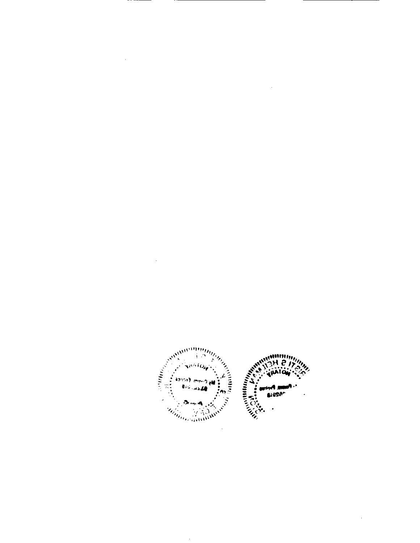$\sim 10^{11}$ 

 $\sim$ 



 $\sim 10^6$ 

 $\mathcal{L}^{\text{max}}_{\text{max}}$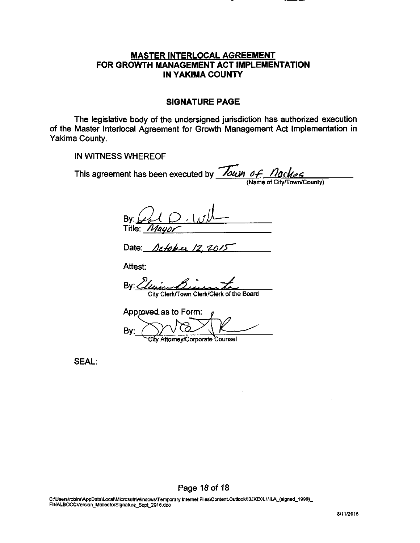#### **SIGNATURE PAGE**

The legislative body of the undersigned jurisdiction has authorized execution of the Master Interlocal Agreement for Growth Management Act Implementation in Yakima County.

IN WITNESS WHEREOF

This agreement has been executed by Town of Nackes

By Title: // 10U

12 201. Date:

Attest:

By  $\mathcal{Z}_{\mathcal{L}}$ City Clerk/Town Clerk/Clerk of the Board

Approved as to Form: Bv

ity Attorney/Corporate Counsel

SEAL:

Page 18 of 18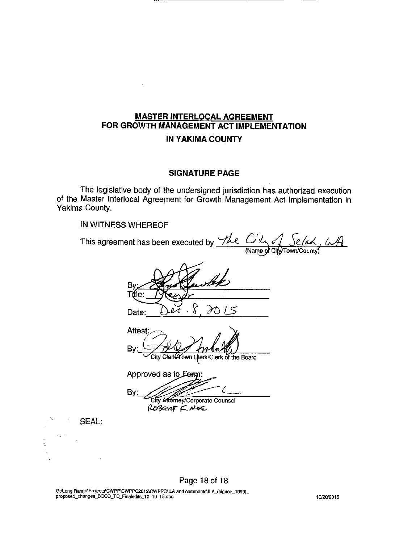#### **SIGNATURE PAGE**

The legislative body of the undersigned jurisdiction has authorized execution of the Master Interlocal Agreement for Growth Management Act Implementation in Yakima County.

#### IN WITNESS WHEREOF

 $\sim$ 

|       | This agreement has been executed by $\mathcal{H}_{\text{KL}}$ $\mathcal{L}'_{\text{KL}}$<br>e/4 |
|-------|-------------------------------------------------------------------------------------------------|
|       | (Name of City Town/County)                                                                      |
|       | By                                                                                              |
|       | Tt(le∶                                                                                          |
|       | 15<br>Date:                                                                                     |
|       | Attest:                                                                                         |
|       | By:<br>City Clerk Yown Clerk/Clerk of the Board                                                 |
|       | Approved as to Eerm:                                                                            |
|       | By:                                                                                             |
|       | City Attorney/Corporate Counsel<br>ROBERT F. NOE                                                |
| SEAL: |                                                                                                 |
|       |                                                                                                 |
|       |                                                                                                 |
|       |                                                                                                 |

Page 18 of 18

G:\Long Range\Projects\CWPP\CWPPC2012\CWPPC\ILA and comments\ILA\_(signed\_1999)\_<br>proposed\_changes\_BOCC\_TC\_Finaledits\_10\_19\_15.doc

10/20/2015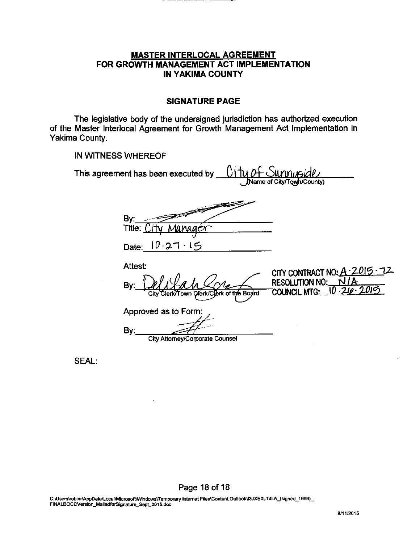#### **SIGNATURE PAGE**

The legislative body of the undersigned jurisdiction has authorized execution<br>of the Master Interlocal Agreement for Growth Management Act Implementation in Yakima County.

| City of Sunnuside<br>This agreement has been executed by<br>Name of City/Town/County)                                                                                          |                                                                                |
|--------------------------------------------------------------------------------------------------------------------------------------------------------------------------------|--------------------------------------------------------------------------------|
| By:<br>Title: City Manager<br>Date: $10.27.15$<br>Attest:<br>By.<br>City Clerk/Town Clerk/Clerk of the Board<br>Approved as to Form:<br>By:<br>City Attorney/Corporate Counsel | CITY CONTRACT NO: $A.2015.72$<br>RESOLUTION NO: N/A<br>COUNCIL MTG: 10.20.2015 |

**SEAL:** 

Page 18 of 18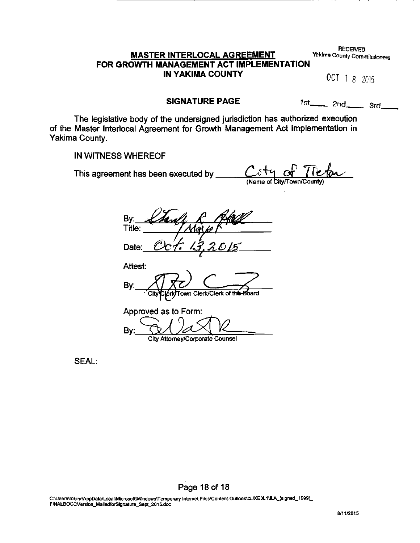**RECEIVED** Yakima County Commissioners

OCT 1 8 2015

#### **SIGNATURE PAGE**

 $1st$  2nd 3rd

The legislative body of the undersigned jurisdiction has authorized execution of the Master Interlocal Agreement for Growth Management Act Implementation in Yakima County.

**IN WITNESS WHEREOF** 

This agreement has been executed by

By. Title: Date:

Attest:

By: City Town Clerk/Clerk of th**é** -Board

Approved as to Form: Bv

City Attorney/Corporate Counsel

SEAL:

Page 18 of 18

C:\Users\robinr\AppData\Local\Microsoft\Windows\Temporary Internet Files\Content.Outlook\ISJXE0L1\ILA\_(signed\_1999)\_ FINALBOCCVersion\_MailedforSignature\_Sept\_2015.doc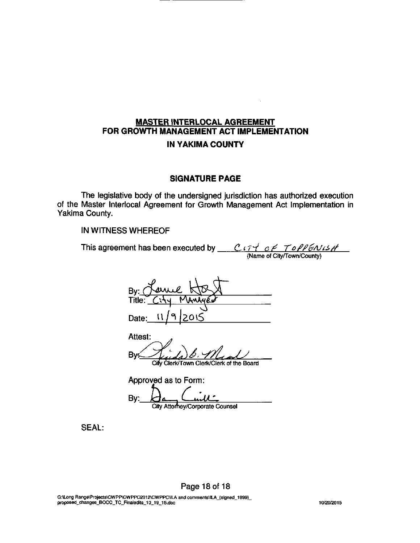#### **SIGNATURE PAGE**

The legislative body of the undersigned jurisdiction has authorized execution of the Master Interlocal Agreement for Growth Management Act Implementation in Yakima County.

#### IN WITNESS WHEREOF

| This agreement has been executed by | CITY OF TOPPENISH          |  |  |
|-------------------------------------|----------------------------|--|--|
|                                     | (Name of City/Town/County) |  |  |

B١ Title Date: ∩

Attest: B۷ City Clerk/Town Clerk/Clerk of the Board

Approved as to Form: Bv City Attorney/Corporate Counsel

SEAL:

Page 18 of 18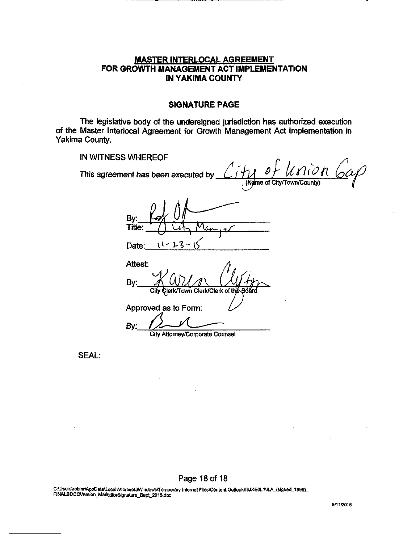#### **SIGNATURE PAGE**

The legislative body of the undersigned jurisdiction has authorized execution of the Master Interlocal Agreement for Growth Management Act Implementation in Yakima County.

IN WITNESS WHEREOF

This agreement has been executed by (Name of City/Town/County) By Title:  $\mathbf{t}^{\mathbf{t}}$ Date: **Attest:** By: lerk/Town Clerk/Clerk of th Cih Approved as to Form: By: **City Attorney/Corporate Counsel** 

**SEAL:** 

#### Page 18 of 18

C:\Users\robinr\AppData\Local\Microsoft\Windows\Temporary Internet Files\Content.Outlook\i3JXE0L1\ILA\_(signed\_1999)\_ FINALBOCCVersion\_MailedforSignature\_Sept\_2015.doc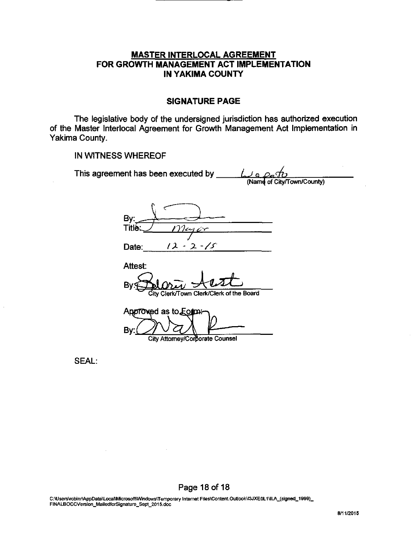#### **SIGNATURE PAGE**

The legislative body of the undersigned jurisdiction has authorized execution of the Master Interlocal Agreement for Growth Management Act Implementation in Yakima County.

#### IN WITNESS WHEREOF

| This agreement has been executed by                       | (Name of City/Town/County) |
|-----------------------------------------------------------|----------------------------|
| By:<br>Titlè<br>Mayor<br>$12 - 2 - 15$<br>Date:           |                            |
| Attest:<br>В١<br>City Clerk/Town Clerk/Clerk of the Board |                            |

Approved as to Eorm Bv City Attorney/Corporate Counsel

SEAL:

Page 18 of 18

C:\Users\robinr\AppData\Local\Microsoft\Windows\Temporary Internet Files\Content.Outlook\I3JXE0L1\ILA\_(signed\_1999)\_ FINALBOCCVersion\_MailedforSignature\_Sept\_2015.doc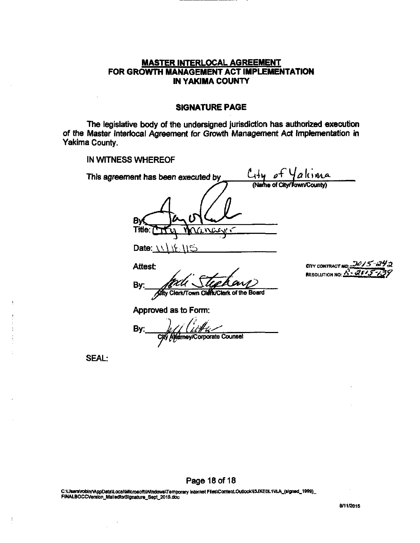## **SIGNATURE PAGE**

The legislative body of the undersigned jurisdiction has authorized execution of the Master Interlocal Agreement for Growth Management Act Implementation in Yakima County.

| IN WITNESS WHEREOF                                          |                                              |
|-------------------------------------------------------------|----------------------------------------------|
| $\mathcal{L}_{1}$ 44<br>This agreement has been executed by | lalima<br>(Name of City/Town/County)         |
| By<br><b>Title:</b>                                         |                                              |
| Date: \\<br>్                                               |                                              |
| Attest:                                                     | CITY CONTRACT NO. $\frac{2615.6192}{25.639}$ |
| By:<br>Sty Clerk/Town Clerk/Clerk of the Board              |                                              |
| Approved as to Form:                                        |                                              |
| By:<br>Attorney/Corporate Counsel                           |                                              |

SEAL:

 $\frac{1}{2}$ 

#### Page 18 of 18

C:\Users\robinrAppData\Local\Microsoft\Windows\Temporary internet Files\Content.Outlook\ISJXE0L1\ILA\_(signed\_1999)\_<br>FINALBOCCVersion\_MalledforSignature\_Sept\_2015.doc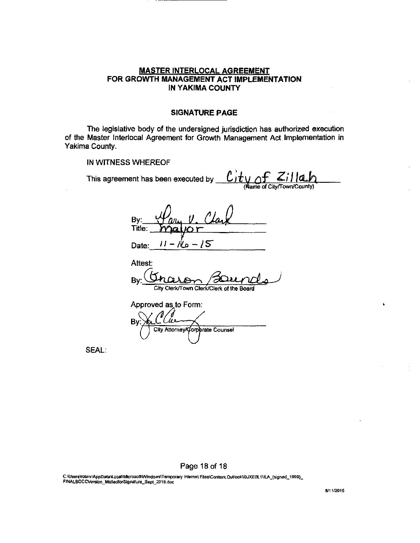#### **SIGNATURE PAGE**

The legislative body of the undersigned jurisdiction has authorized execution of the Master Interlocal Agreement for Growth Management Act Implementation in Yakima County

IN WITNESS WHEREOF

This agreement has been executed by (Name of City/Town/County)

By Title:

 $16 - 15$  $H$ Date:  $\overline{\phantom{m}}$ 

Attest:

 $B$ City Clerk/Town Clerk/Clerk of the Board

Approved as to Form: City Attorney/Corporate Counsel

SEAL:

#### Page 18 of 18

C:\Users\robinr\AppData\Local\Microsoft\Windows\Temporary Internet Files\Content.Outlook\t3JXE0L1\ILA\_(signed\_1999)\_ FINALBOCCVersion\_MailedforSignature\_Sept\_2015.doc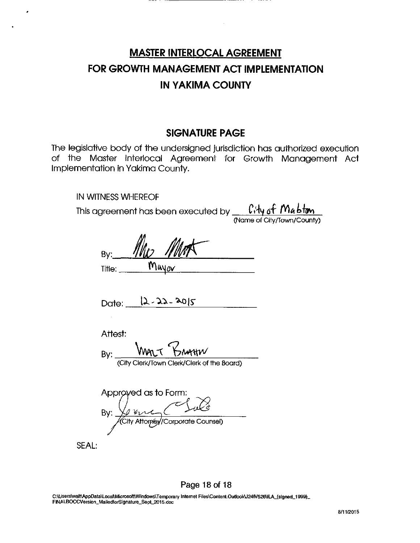# **SIGNATURE PAGE**

The legislative body of the undersigned jurisdiction has authorized execution of the Master Interlocal Agreement for Growth Management Act Implementation in Yakima County.

**IN WITNESS WHEREOF** 

This agreement has been executed by  $\frac{C_1\mathcal{H}_y}{\mathcal{M}_{\text{R}}}\int_{\mathcal{M}}\mathcal{M}_z\mathcal{M}_{\text{R}}$ 

By: Title:

 $Date: 12 - 22 - 2015$ 

Attest:

By: (City Clerk/Town Clerk/Clerk of the Board)

Approved as to Form: By: Corporate Counsel)

SEAL:

Page 18 of 18

C:\Users\walt\AppData\Locaf\Microsoft\Windows\Temporary Internet Files\Content.Outlook\J24IV526\ILA\_{signed\_1999}\_ FINALBOCCVersion\_MailedforSlgnature\_Sept\_2015.doc